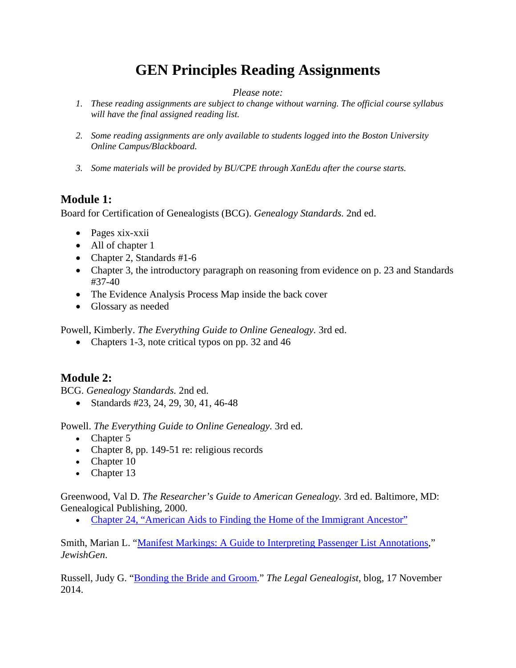# **GEN Principles Reading Assignments**

#### *Please note:*

- *1. These reading assignments are subject to change without warning. The official course syllabus will have the final assigned reading list.*
- *2. Some reading assignments are only available to students logged into the Boston University Online Campus/Blackboard.*
- *3. Some materials will be provided by BU/CPE through XanEdu after the course starts.*

#### **Module 1:**

Board for Certification of Genealogists (BCG). *Genealogy Standards.* 2nd ed.

- Pages xix-xxii
- All of chapter 1
- Chapter 2, Standards #1-6
- Chapter 3, the introductory paragraph on reasoning from evidence on p. 23 and Standards #37-40
- The Evidence Analysis Process Map inside the back cover
- Glossary as needed

Powell, Kimberly. *The Everything Guide to Online Genealogy.* 3rd ed.

• Chapters 1-3, note critical typos on pp. 32 and 46

# **Module 2:**

BCG. *Genealogy Standards.* 2nd ed.

• Standards #23, 24, 29, 30, 41, 46-48

Powell. *The Everything Guide to Online Genealogy.* 3rd ed.

- Chapter 5
- Chapter 8, pp. 149-51 re: religious records
- Chapter 10
- Chapter 13

Greenwood, Val D. *The Researcher's Guide to American Genealogy.* 3rd ed. Baltimore, MD: Genealogical Publishing, 2000.

• [Chapter 24, "American Aids to Finding the Home of the Immigrant Ancestor"](https://onlinecampus.bu.edu/bbcswebdav/pid-9839345-dt-content-rid-61912440_1/courses/22sprgmetog150_o1/course/module2/documents/cpeGenPrin_M2_Greenwood_24.pdf)

Smith, Marian L. ["Manifest Markings: A Guide to Interpreting Passenger List Annotations,](https://www.jewishgen.org/infofiles/manifests/)" *JewishGen*.

Russell, Judy G. ["Bonding the Bride and Groom.](http://www.legalgenealogist.com/2014/11/17/bonding-the-bride-and-groom/)" *The Legal Genealogist*, blog, 17 November 2014.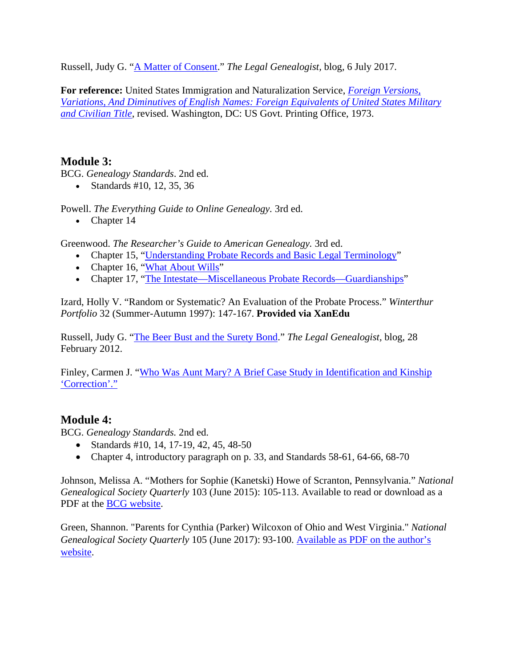Russell, Judy G. ["A Matter of Consent.](http://www.legalgenealogist.com/2017/07/06/a-matter-of-consent/)" *The Legal Genealogist,* blog, 6 July 2017.

**For reference:** United States Immigration and Naturalization Service, *[Foreign Versions,](https://www.familysearch.org/library/books/records/item/461996-foreign-versions-variations-and-diminutives-of-english-names-foreign-equivalents-of-united-states-military-and-civilian-titles-rev-1973?offset=1)  [Variations, And Diminutives of English Names: Foreign Equivalents of United States Military](https://www.familysearch.org/library/books/records/item/461996-foreign-versions-variations-and-diminutives-of-english-names-foreign-equivalents-of-united-states-military-and-civilian-titles-rev-1973?offset=1)  [and Civilian Title](https://www.familysearch.org/library/books/records/item/461996-foreign-versions-variations-and-diminutives-of-english-names-foreign-equivalents-of-united-states-military-and-civilian-titles-rev-1973?offset=1)*, revised. Washington, DC: US Govt. Printing Office, 1973.

# **Module 3:**

BCG. *Genealogy Standards*. 2nd ed.

• Standards #10, 12, 35, 36

Powell. *The Everything Guide to Online Genealogy.* 3rd ed.

• Chapter 14

Greenwood. *The Researcher's Guide to American Genealogy.* 3rd ed.

- Chapter 15, ["Understanding Probate Records and Basic Legal Terminology"](https://onlinecampus.bu.edu/bbcswebdav/pid-9839345-dt-content-rid-61912440_1/courses/22sprgmetog150_o1/course/module3/documents/cpeGenPrin_M3_Greenwood_15.pdf)
- Chapter 16, ["What About Wills"](https://onlinecampus.bu.edu/bbcswebdav/pid-9839345-dt-content-rid-61912440_1/courses/22sprgmetog150_o1/course/module3/documents/cpeGenPrin_M3_Greenwood_16.pdf)
- Chapter 17, ["The Intestate—Miscellaneous Probate Records—Guardianships"](https://onlinecampus.bu.edu/bbcswebdav/pid-9839345-dt-content-rid-61912440_1/courses/22sprgmetog150_o1/course/module3/documents/cpeGenPrin_M3_Greenwood_17.pdf)

Izard, Holly V. "Random or Systematic? An Evaluation of the Probate Process." *Winterthur Portfolio* 32 (Summer-Autumn 1997): 147-167. **Provided via XanEdu**

Russell, Judy G. ["The Beer Bust and the Surety Bond.](http://www.legalgenealogist.com/2012/02/28/the-beer-bust-and-the-surety-bond/)" *The Legal Genealogist,* blog, 28 February 2012.

Finley, Carmen J. ["Who Was Aunt Mary? A Brief Case Study in Identification and Kinship](https://onlinecampus.bu.edu/bbcswebdav/pid-9839345-dt-content-rid-61912440_1/courses/22sprgmetog150_o1/course/module3/documents/cpeGenPrin_M3L2_FinleyCaseStudyAuntMary.pdf)  ['Correction'."](https://onlinecampus.bu.edu/bbcswebdav/pid-9839345-dt-content-rid-61912440_1/courses/22sprgmetog150_o1/course/module3/documents/cpeGenPrin_M3L2_FinleyCaseStudyAuntMary.pdf)

# **Module 4:**

BCG. *Genealogy Standards.* 2nd ed.

- Standards #10, 14, 17-19, 42, 45, 48-50
- Chapter 4, introductory paragraph on p. 33, and Standards 58-61, 64-66, 68-70

Johnson, Melissa A. "Mothers for Sophie (Kanetski) Howe of Scranton, Pennsylvania." *National Genealogical Society Quarterly* 103 (June 2015): 105-113. Available to read or download as a PDF at the [BCG website.](https://bcgcertification.org/learning/skills/genealogical-work-samples/#CS)

Green, Shannon. "Parents for Cynthia (Parker) Wilcoxon of Ohio and West Virginia." *National Genealogical Society Quarterly* 105 (June 2017): 93-100. [Available as PDF on the author's](http://www.greenwichgenealogy.com/publications)  [website.](http://www.greenwichgenealogy.com/publications)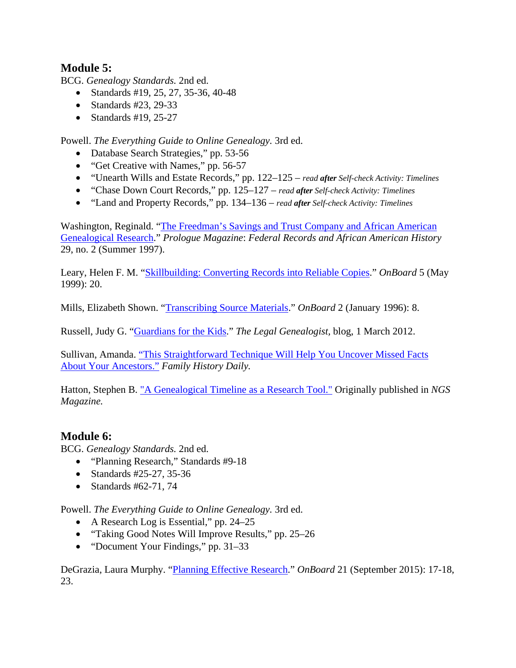#### **Module 5:**

BCG. *Genealogy Standards.* 2nd ed.

- Standards #19, 25, 27, 35-36, 40-48
- Standards #23, 29-33
- Standards #19,  $25-27$

Powell. *The Everything Guide to Online Genealogy.* 3rd ed.

- Database Search Strategies," pp. 53-56
- "Get Creative with Names," pp. 56-57
- "Unearth Wills and Estate Records," pp. 122–125 *read after Self-check Activity: Timelines*
- "Chase Down Court Records," pp. 125–127 *read after Self-check Activity: Timelines*
- "Land and Property Records," pp. 134–136 *read after Self-check Activity: Timelines*

Washington, Reginald. ["The Freedman's Savings and Trust Company and African American](http://www.archives.gov/publications/prologue/1997/summer/freedmans-savings-and-trust.html)  [Genealogical Research.](http://www.archives.gov/publications/prologue/1997/summer/freedmans-savings-and-trust.html)" *Prologue Magazine*: *Federal Records and African American History* 29, no. 2 (Summer 1997).

Leary, Helen F. M. ["Skillbuilding: Converting Records into Reliable Copies.](https://bcgcertification.org/skillbuilding-converting-records-into-reliable-copies/)" *OnBoard* 5 (May 1999): 20.

Mills, Elizabeth Shown. ["Transcribing Source Materials.](https://bcgcertification.org/skillbuilding-transcribing-source-materials/)" *OnBoard* 2 (January 1996): 8.

Russell, Judy G. ["Guardians for the](https://www.legalgenealogist.com/2012/03/01/guardians-for-the-kids/) Kids." *The Legal Genealogist,* blog, 1 March 2012.

Sullivan, Amanda. ["This Straightforward Technique Will Help You Uncover Missed Facts](https://familyhistorydaily.com/genealogy-help-and-how-to/ancestor-timeline/)  [About Your Ancestors."](https://familyhistorydaily.com/genealogy-help-and-how-to/ancestor-timeline/) *Family History Daily.*

Hatton, Stephen B. ["A Genealogical Timeline as a Research Tool."](https://bh9qf7dyqmpb4rk14s84y90-wpengine.netdna-ssl.com/wp-content/uploads/Complimentary-NGS-Magazine-Articles/Hatton_Genealogical_Timeline_42_2_2016.pdf) Originally published in *NGS Magazine.*

#### **Module 6:**

BCG. *Genealogy Standards.* 2nd ed.

- "Planning Research," Standards #9-18"
- Standards #25-27, 35-36
- Standards #62-71, 74

Powell. *The Everything Guide to Online Genealogy.* 3rd ed.

- A Research Log is Essential," pp. 24–25
- "Taking Good Notes Will Improve Results," pp. 25–26
- "Document Your Findings," pp. 31–33

DeGrazia, Laura Murphy. ["Planning Effective Research.](https://bcgcertification.org/skillbuilding-planning-effective-research/)" *OnBoard* 21 (September 2015): 17-18, 23.